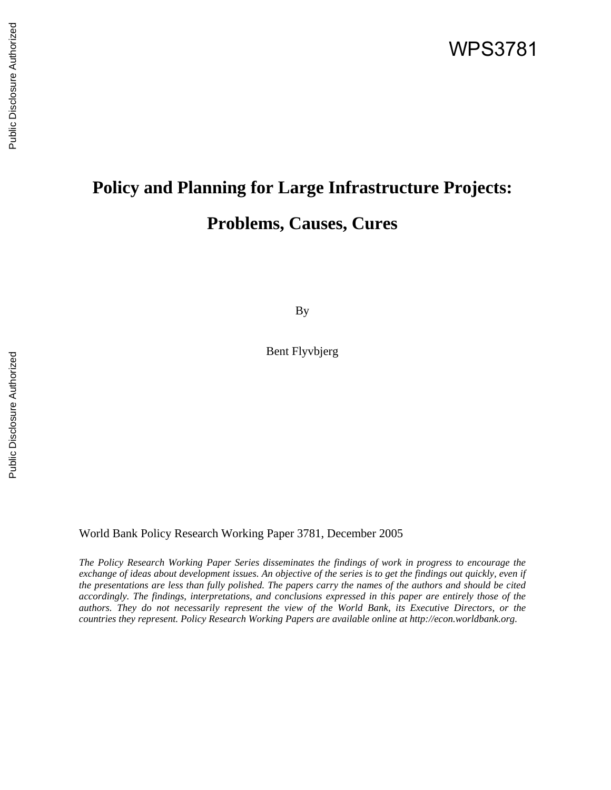# **Policy and Planning for Large Infrastructure Projects: Problems, Causes, Cures**

By

Bent Flyvbjerg

World Bank Policy Research Working Paper 3781, December 2005

*The Policy Research Working Paper Series disseminates the findings of work in progress to encourage the exchange of ideas about development issues. An objective of the series is to get the findings out quickly, even if the presentations are less than fully polished. The papers carry the names of the authors and should be cited accordingly. The findings, interpretations, and conclusions expressed in this paper are entirely those of the authors. They do not necessarily represent the view of the World Bank, its Executive Directors, or the countries they represent. Policy Research Working Papers are available online at http://econ.worldbank.org.*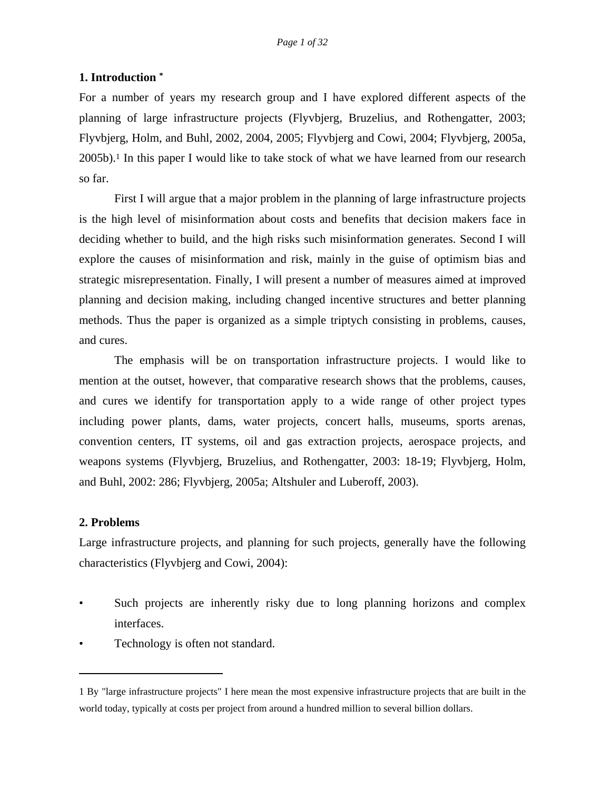# **1. Introduction \***

For a number of years my research group and I have explored different aspects of the planning of large infrastructure projects (Flyvbjerg, Bruzelius, and Rothengatter, 2003; Flyvbjerg, Holm, and Buhl, 2002, 2004, 2005; Flyvbjerg and Cowi, 2004; Flyvbjerg, 2005a, 2005b).1 In this paper I would like to take stock of what we have learned from our research so far.

 First I will argue that a major problem in the planning of large infrastructure projects is the high level of misinformation about costs and benefits that decision makers face in deciding whether to build, and the high risks such misinformation generates. Second I will explore the causes of misinformation and risk, mainly in the guise of optimism bias and strategic misrepresentation. Finally, I will present a number of measures aimed at improved planning and decision making, including changed incentive structures and better planning methods. Thus the paper is organized as a simple triptych consisting in problems, causes, and cures.

 The emphasis will be on transportation infrastructure projects. I would like to mention at the outset, however, that comparative research shows that the problems, causes, and cures we identify for transportation apply to a wide range of other project types including power plants, dams, water projects, concert halls, museums, sports arenas, convention centers, IT systems, oil and gas extraction projects, aerospace projects, and weapons systems (Flyvbjerg, Bruzelius, and Rothengatter, 2003: 18-19; Flyvbjerg, Holm, and Buhl, 2002: 286; Flyvbjerg, 2005a; Altshuler and Luberoff, 2003).

## **2. Problems**

 $\overline{a}$ 

Large infrastructure projects, and planning for such projects, generally have the following characteristics (Flyvbjerg and Cowi, 2004):

- Such projects are inherently risky due to long planning horizons and complex interfaces.
- Technology is often not standard.

<sup>1</sup> By "large infrastructure projects" I here mean the most expensive infrastructure projects that are built in the world today, typically at costs per project from around a hundred million to several billion dollars.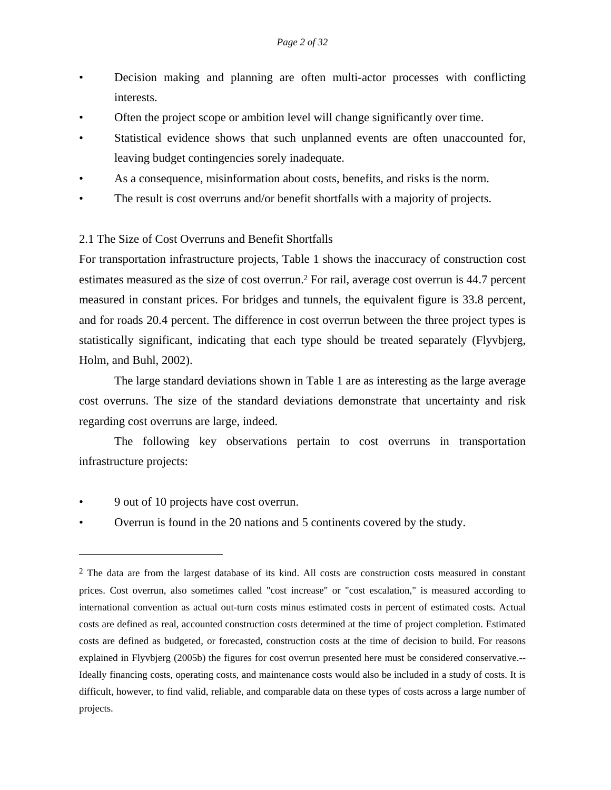- Decision making and planning are often multi-actor processes with conflicting interests.
- Often the project scope or ambition level will change significantly over time.
- Statistical evidence shows that such unplanned events are often unaccounted for, leaving budget contingencies sorely inadequate.
- As a consequence, misinformation about costs, benefits, and risks is the norm.
- The result is cost overruns and/or benefit shortfalls with a majority of projects.

## 2.1 The Size of Cost Overruns and Benefit Shortfalls

For transportation infrastructure projects, Table 1 shows the inaccuracy of construction cost estimates measured as the size of cost overrun.2 For rail, average cost overrun is 44.7 percent measured in constant prices. For bridges and tunnels, the equivalent figure is 33.8 percent, and for roads 20.4 percent. The difference in cost overrun between the three project types is statistically significant, indicating that each type should be treated separately (Flyvbjerg, Holm, and Buhl, 2002).

 The large standard deviations shown in Table 1 are as interesting as the large average cost overruns. The size of the standard deviations demonstrate that uncertainty and risk regarding cost overruns are large, indeed.

 The following key observations pertain to cost overruns in transportation infrastructure projects:

• 9 out of 10 projects have cost overrun.

 $\overline{a}$ 

• Overrun is found in the 20 nations and 5 continents covered by the study.

<sup>&</sup>lt;sup>2</sup> The data are from the largest database of its kind. All costs are construction costs measured in constant prices. Cost overrun, also sometimes called "cost increase" or "cost escalation," is measured according to international convention as actual out-turn costs minus estimated costs in percent of estimated costs. Actual costs are defined as real, accounted construction costs determined at the time of project completion. Estimated costs are defined as budgeted, or forecasted, construction costs at the time of decision to build. For reasons explained in Flyvbjerg (2005b) the figures for cost overrun presented here must be considered conservative.-- Ideally financing costs, operating costs, and maintenance costs would also be included in a study of costs. It is difficult, however, to find valid, reliable, and comparable data on these types of costs across a large number of projects.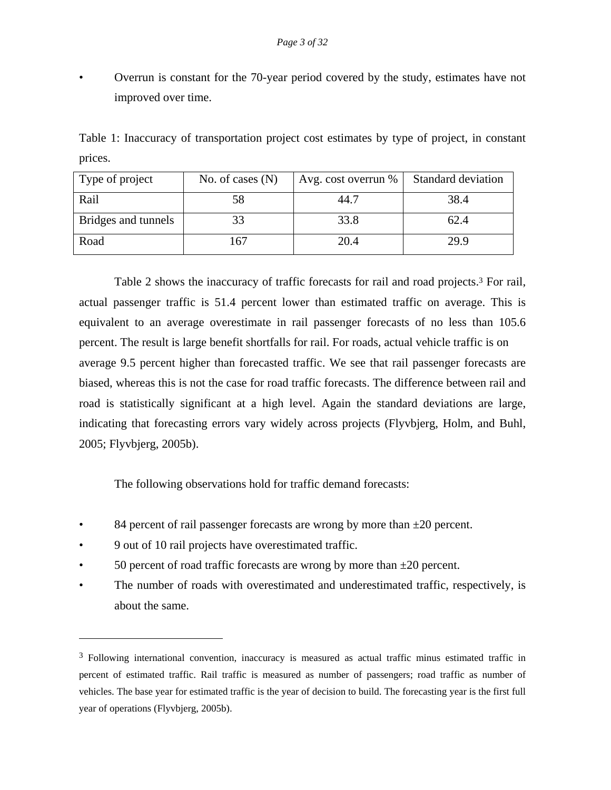• Overrun is constant for the 70-year period covered by the study, estimates have not improved over time.

Table 1: Inaccuracy of transportation project cost estimates by type of project, in constant prices.

| Type of project            | No. of cases $(N)$ | Avg. cost overrun % | Standard deviation |
|----------------------------|--------------------|---------------------|--------------------|
| Rail                       | 58                 | 44.7                | 38.4               |
| <b>Bridges and tunnels</b> |                    | 33.8                | 62.4               |
| Road                       | 167                | 20.4                | 29.9               |

 Table 2 shows the inaccuracy of traffic forecasts for rail and road projects.3 For rail, actual passenger traffic is 51.4 percent lower than estimated traffic on average. This is equivalent to an average overestimate in rail passenger forecasts of no less than 105.6 percent. The result is large benefit shortfalls for rail. For roads, actual vehicle traffic is on average 9.5 percent higher than forecasted traffic. We see that rail passenger forecasts are biased, whereas this is not the case for road traffic forecasts. The difference between rail and road is statistically significant at a high level. Again the standard deviations are large, indicating that forecasting errors vary widely across projects (Flyvbjerg, Holm, and Buhl, 2005; Flyvbjerg, 2005b).

The following observations hold for traffic demand forecasts:

- 84 percent of rail passenger forecasts are wrong by more than  $\pm 20$  percent.
- 9 out of 10 rail projects have overestimated traffic.

 $\overline{a}$ 

- 50 percent of road traffic forecasts are wrong by more than  $\pm 20$  percent.
- The number of roads with overestimated and underestimated traffic, respectively, is about the same.

<sup>&</sup>lt;sup>3</sup> Following international convention, inaccuracy is measured as actual traffic minus estimated traffic in percent of estimated traffic. Rail traffic is measured as number of passengers; road traffic as number of vehicles. The base year for estimated traffic is the year of decision to build. The forecasting year is the first full year of operations (Flyvbjerg, 2005b).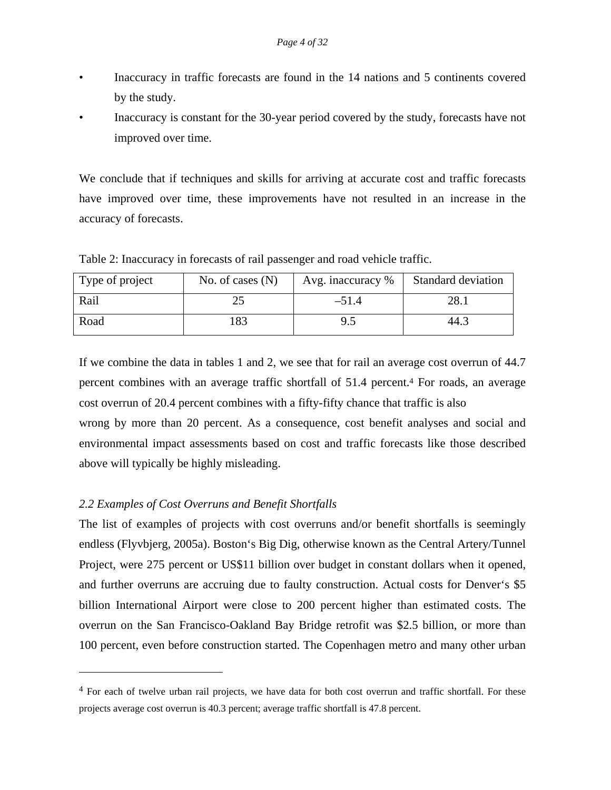- Inaccuracy in traffic forecasts are found in the 14 nations and 5 continents covered by the study.
- Inaccuracy is constant for the 30-year period covered by the study, forecasts have not improved over time.

We conclude that if techniques and skills for arriving at accurate cost and traffic forecasts have improved over time, these improvements have not resulted in an increase in the accuracy of forecasts.

| Type of project | No. of cases $(N)$ | Avg. inaccuracy % | Standard deviation |
|-----------------|--------------------|-------------------|--------------------|
| Rail            |                    | $-51.4$           | 28                 |
| Road            | .83                |                   | 44.3               |

Table 2: Inaccuracy in forecasts of rail passenger and road vehicle traffic.

If we combine the data in tables 1 and 2, we see that for rail an average cost overrun of 44.7 percent combines with an average traffic shortfall of 51.4 percent.4 For roads, an average cost overrun of 20.4 percent combines with a fifty-fifty chance that traffic is also wrong by more than 20 percent. As a consequence, cost benefit analyses and social and environmental impact assessments based on cost and traffic forecasts like those described above will typically be highly misleading.

## *2.2 Examples of Cost Overruns and Benefit Shortfalls*

 $\overline{a}$ 

The list of examples of projects with cost overruns and/or benefit shortfalls is seemingly endless (Flyvbjerg, 2005a). Boston's Big Dig, otherwise known as the Central Artery/Tunnel Project, were 275 percent or US\$11 billion over budget in constant dollars when it opened, and further overruns are accruing due to faulty construction. Actual costs for Denver's \$5 billion International Airport were close to 200 percent higher than estimated costs. The overrun on the San Francisco-Oakland Bay Bridge retrofit was \$2.5 billion, or more than 100 percent, even before construction started. The Copenhagen metro and many other urban

<sup>&</sup>lt;sup>4</sup> For each of twelve urban rail projects, we have data for both cost overrun and traffic shortfall. For these projects average cost overrun is 40.3 percent; average traffic shortfall is 47.8 percent.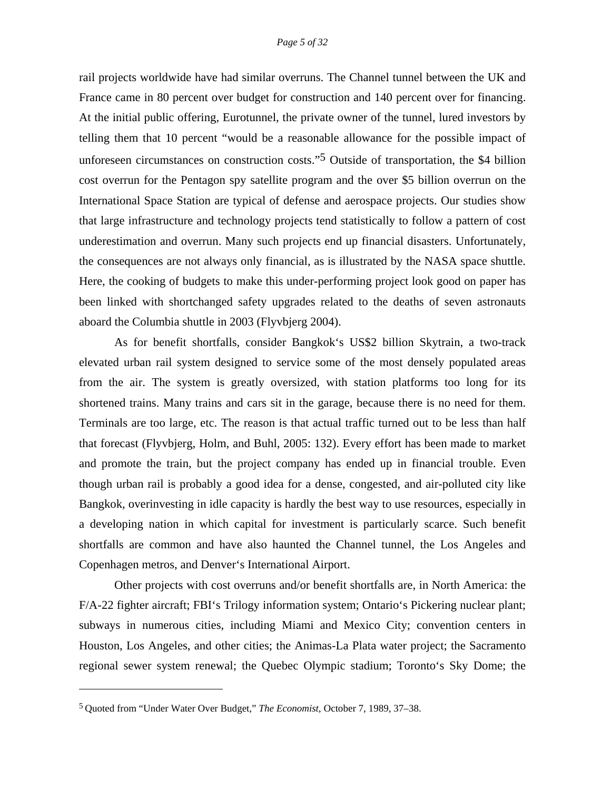rail projects worldwide have had similar overruns. The Channel tunnel between the UK and France came in 80 percent over budget for construction and 140 percent over for financing. At the initial public offering, Eurotunnel, the private owner of the tunnel, lured investors by telling them that 10 percent "would be a reasonable allowance for the possible impact of unforeseen circumstances on construction costs."5 Outside of transportation, the \$4 billion cost overrun for the Pentagon spy satellite program and the over \$5 billion overrun on the International Space Station are typical of defense and aerospace projects. Our studies show that large infrastructure and technology projects tend statistically to follow a pattern of cost underestimation and overrun. Many such projects end up financial disasters. Unfortunately, the consequences are not always only financial, as is illustrated by the NASA space shuttle. Here, the cooking of budgets to make this under-performing project look good on paper has been linked with shortchanged safety upgrades related to the deaths of seven astronauts aboard the Columbia shuttle in 2003 (Flyvbjerg 2004).

 As for benefit shortfalls, consider Bangkok's US\$2 billion Skytrain, a two-track elevated urban rail system designed to service some of the most densely populated areas from the air. The system is greatly oversized, with station platforms too long for its shortened trains. Many trains and cars sit in the garage, because there is no need for them. Terminals are too large, etc. The reason is that actual traffic turned out to be less than half that forecast (Flyvbjerg, Holm, and Buhl, 2005: 132). Every effort has been made to market and promote the train, but the project company has ended up in financial trouble. Even though urban rail is probably a good idea for a dense, congested, and air-polluted city like Bangkok, overinvesting in idle capacity is hardly the best way to use resources, especially in a developing nation in which capital for investment is particularly scarce. Such benefit shortfalls are common and have also haunted the Channel tunnel, the Los Angeles and Copenhagen metros, and Denver's International Airport.

 Other projects with cost overruns and/or benefit shortfalls are, in North America: the F/A-22 fighter aircraft; FBI's Trilogy information system; Ontario's Pickering nuclear plant; subways in numerous cities, including Miami and Mexico City; convention centers in Houston, Los Angeles, and other cities; the Animas-La Plata water project; the Sacramento regional sewer system renewal; the Quebec Olympic stadium; Toronto's Sky Dome; the

 $\overline{a}$ 

<sup>5</sup> Quoted from "Under Water Over Budget," *The Economist*, October 7, 1989, 37–38.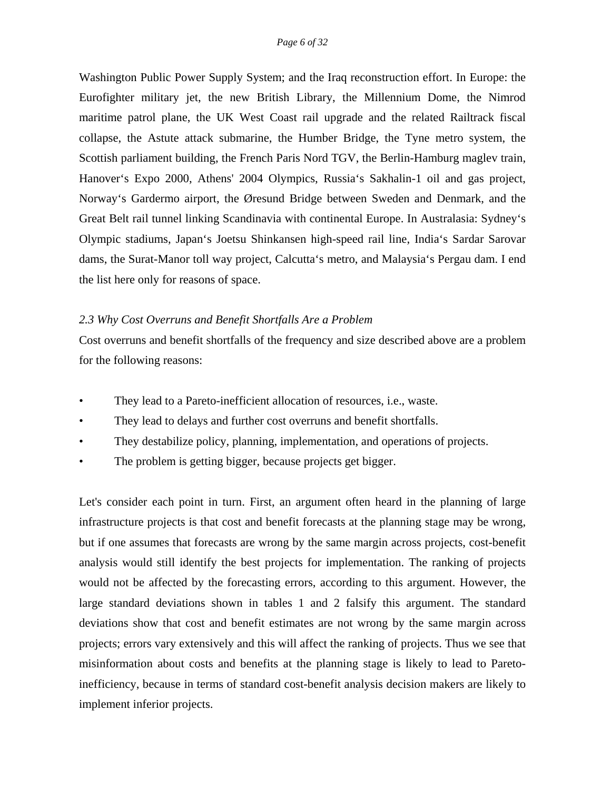#### *Page 6 of 32*

Washington Public Power Supply System; and the Iraq reconstruction effort. In Europe: the Eurofighter military jet, the new British Library, the Millennium Dome, the Nimrod maritime patrol plane, the UK West Coast rail upgrade and the related Railtrack fiscal collapse, the Astute attack submarine, the Humber Bridge, the Tyne metro system, the Scottish parliament building, the French Paris Nord TGV, the Berlin-Hamburg maglev train, Hanover's Expo 2000, Athens' 2004 Olympics, Russia's Sakhalin-1 oil and gas project, Norway's Gardermo airport, the Øresund Bridge between Sweden and Denmark, and the Great Belt rail tunnel linking Scandinavia with continental Europe. In Australasia: Sydney's Olympic stadiums, Japan's Joetsu Shinkansen high-speed rail line, India's Sardar Sarovar dams, the Surat-Manor toll way project, Calcutta's metro, and Malaysia's Pergau dam. I end the list here only for reasons of space.

## *2.3 Why Cost Overruns and Benefit Shortfalls Are a Problem*

Cost overruns and benefit shortfalls of the frequency and size described above are a problem for the following reasons:

- They lead to a Pareto-inefficient allocation of resources, *i.e.*, waste.
- They lead to delays and further cost overruns and benefit shortfalls.
- They destabilize policy, planning, implementation, and operations of projects.
- The problem is getting bigger, because projects get bigger.

Let's consider each point in turn. First, an argument often heard in the planning of large infrastructure projects is that cost and benefit forecasts at the planning stage may be wrong, but if one assumes that forecasts are wrong by the same margin across projects, cost-benefit analysis would still identify the best projects for implementation. The ranking of projects would not be affected by the forecasting errors, according to this argument. However, the large standard deviations shown in tables 1 and 2 falsify this argument. The standard deviations show that cost and benefit estimates are not wrong by the same margin across projects; errors vary extensively and this will affect the ranking of projects. Thus we see that misinformation about costs and benefits at the planning stage is likely to lead to Paretoinefficiency, because in terms of standard cost-benefit analysis decision makers are likely to implement inferior projects.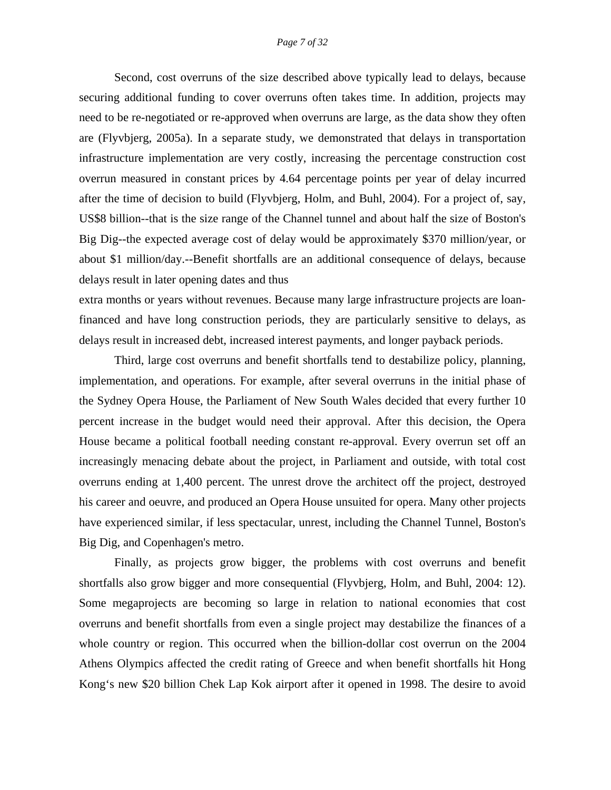#### *Page 7 of 32*

 Second, cost overruns of the size described above typically lead to delays, because securing additional funding to cover overruns often takes time. In addition, projects may need to be re-negotiated or re-approved when overruns are large, as the data show they often are (Flyvbjerg, 2005a). In a separate study, we demonstrated that delays in transportation infrastructure implementation are very costly, increasing the percentage construction cost overrun measured in constant prices by 4.64 percentage points per year of delay incurred after the time of decision to build (Flyvbjerg, Holm, and Buhl, 2004). For a project of, say, US\$8 billion--that is the size range of the Channel tunnel and about half the size of Boston's Big Dig--the expected average cost of delay would be approximately \$370 million/year, or about \$1 million/day.--Benefit shortfalls are an additional consequence of delays, because delays result in later opening dates and thus

extra months or years without revenues. Because many large infrastructure projects are loanfinanced and have long construction periods, they are particularly sensitive to delays, as delays result in increased debt, increased interest payments, and longer payback periods.

 Third, large cost overruns and benefit shortfalls tend to destabilize policy, planning, implementation, and operations. For example, after several overruns in the initial phase of the Sydney Opera House, the Parliament of New South Wales decided that every further 10 percent increase in the budget would need their approval. After this decision, the Opera House became a political football needing constant re-approval. Every overrun set off an increasingly menacing debate about the project, in Parliament and outside, with total cost overruns ending at 1,400 percent. The unrest drove the architect off the project, destroyed his career and oeuvre, and produced an Opera House unsuited for opera. Many other projects have experienced similar, if less spectacular, unrest, including the Channel Tunnel, Boston's Big Dig, and Copenhagen's metro.

 Finally, as projects grow bigger, the problems with cost overruns and benefit shortfalls also grow bigger and more consequential (Flyvbjerg, Holm, and Buhl, 2004: 12). Some megaprojects are becoming so large in relation to national economies that cost overruns and benefit shortfalls from even a single project may destabilize the finances of a whole country or region. This occurred when the billion-dollar cost overrun on the 2004 Athens Olympics affected the credit rating of Greece and when benefit shortfalls hit Hong Kong's new \$20 billion Chek Lap Kok airport after it opened in 1998. The desire to avoid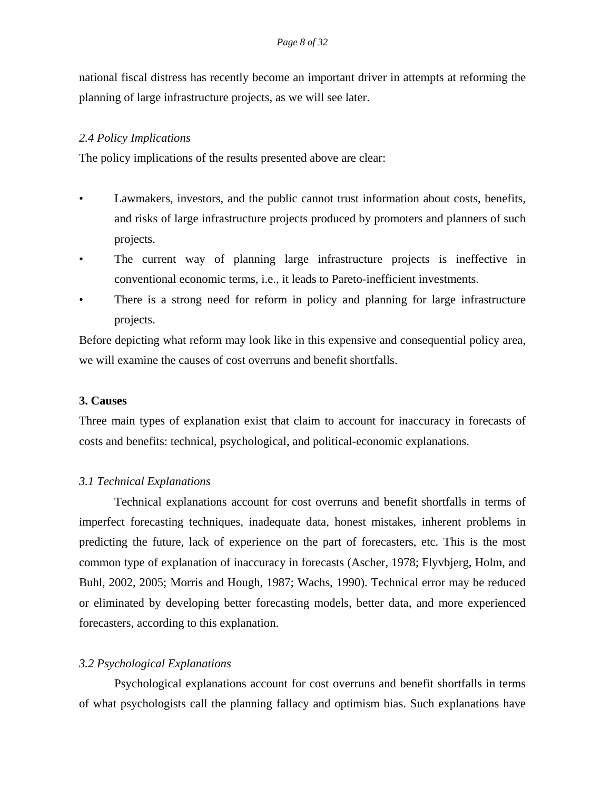#### *Page 8 of 32*

national fiscal distress has recently become an important driver in attempts at reforming the planning of large infrastructure projects, as we will see later.

## *2.4 Policy Implications*

The policy implications of the results presented above are clear:

- Lawmakers, investors, and the public cannot trust information about costs, benefits, and risks of large infrastructure projects produced by promoters and planners of such projects.
- The current way of planning large infrastructure projects is ineffective in conventional economic terms, i.e., it leads to Pareto-inefficient investments.
- There is a strong need for reform in policy and planning for large infrastructure projects.

Before depicting what reform may look like in this expensive and consequential policy area, we will examine the causes of cost overruns and benefit shortfalls.

## **3. Causes**

Three main types of explanation exist that claim to account for inaccuracy in forecasts of costs and benefits: technical, psychological, and political-economic explanations.

## *3.1 Technical Explanations*

 Technical explanations account for cost overruns and benefit shortfalls in terms of imperfect forecasting techniques, inadequate data, honest mistakes, inherent problems in predicting the future, lack of experience on the part of forecasters, etc. This is the most common type of explanation of inaccuracy in forecasts (Ascher, 1978; Flyvbjerg, Holm, and Buhl, 2002, 2005; Morris and Hough, 1987; Wachs, 1990). Technical error may be reduced or eliminated by developing better forecasting models, better data, and more experienced forecasters, according to this explanation.

## *3.2 Psychological Explanations*

 Psychological explanations account for cost overruns and benefit shortfalls in terms of what psychologists call the planning fallacy and optimism bias. Such explanations have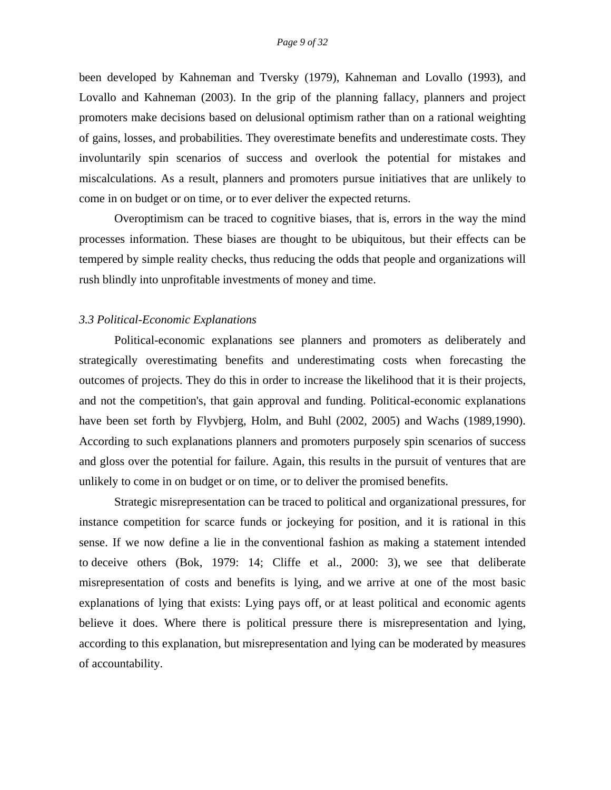been developed by Kahneman and Tversky (1979), Kahneman and Lovallo (1993), and Lovallo and Kahneman (2003). In the grip of the planning fallacy, planners and project promoters make decisions based on delusional optimism rather than on a rational weighting of gains, losses, and probabilities. They overestimate benefits and underestimate costs. They involuntarily spin scenarios of success and overlook the potential for mistakes and miscalculations. As a result, planners and promoters pursue initiatives that are unlikely to come in on budget or on time, or to ever deliver the expected returns.

 Overoptimism can be traced to cognitive biases, that is, errors in the way the mind processes information. These biases are thought to be ubiquitous, but their effects can be tempered by simple reality checks, thus reducing the odds that people and organizations will rush blindly into unprofitable investments of money and time.

## *3.3 Political-Economic Explanations*

Political-economic explanations see planners and promoters as deliberately and strategically overestimating benefits and underestimating costs when forecasting the outcomes of projects. They do this in order to increase the likelihood that it is their projects, and not the competition's, that gain approval and funding. Political-economic explanations have been set forth by Flyvbjerg, Holm, and Buhl (2002, 2005) and Wachs (1989,1990). According to such explanations planners and promoters purposely spin scenarios of success and gloss over the potential for failure. Again, this results in the pursuit of ventures that are unlikely to come in on budget or on time, or to deliver the promised benefits.

Strategic misrepresentation can be traced to political and organizational pressures, for instance competition for scarce funds or jockeying for position, and it is rational in this sense. If we now define a lie in the conventional fashion as making a statement intended to deceive others (Bok, 1979: 14; Cliffe et al., 2000: 3), we see that deliberate misrepresentation of costs and benefits is lying, and we arrive at one of the most basic explanations of lying that exists: Lying pays off, or at least political and economic agents believe it does. Where there is political pressure there is misrepresentation and lying, according to this explanation, but misrepresentation and lying can be moderated by measures of accountability.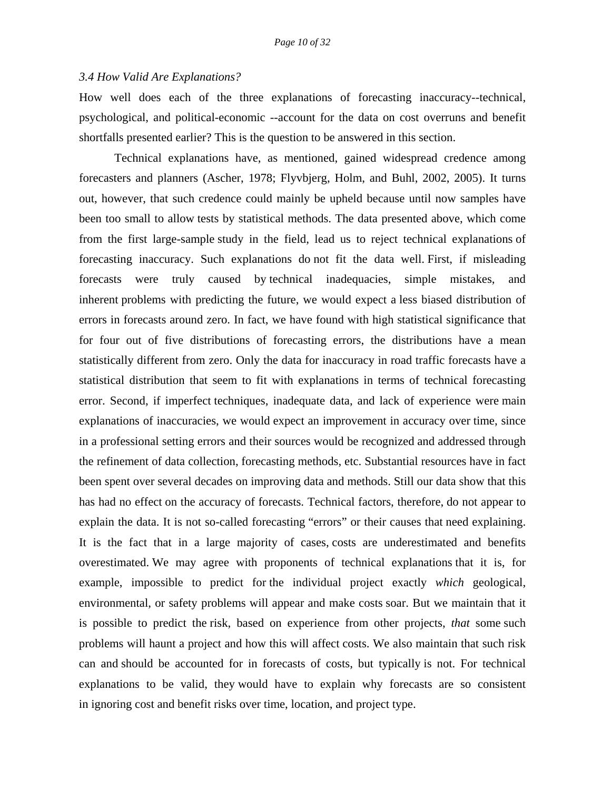## *3.4 How Valid Are Explanations?*

How well does each of the three explanations of forecasting inaccuracy--technical, psychological, and political-economic --account for the data on cost overruns and benefit shortfalls presented earlier? This is the question to be answered in this section.

 Technical explanations have, as mentioned, gained widespread credence among forecasters and planners (Ascher, 1978; Flyvbjerg, Holm, and Buhl, 2002, 2005). It turns out, however, that such credence could mainly be upheld because until now samples have been too small to allow tests by statistical methods. The data presented above, which come from the first large-sample study in the field, lead us to reject technical explanations of forecasting inaccuracy. Such explanations do not fit the data well. First, if misleading forecasts were truly caused by technical inadequacies, simple mistakes, and inherent problems with predicting the future, we would expect a less biased distribution of errors in forecasts around zero. In fact, we have found with high statistical significance that for four out of five distributions of forecasting errors, the distributions have a mean statistically different from zero. Only the data for inaccuracy in road traffic forecasts have a statistical distribution that seem to fit with explanations in terms of technical forecasting error. Second, if imperfect techniques, inadequate data, and lack of experience were main explanations of inaccuracies, we would expect an improvement in accuracy over time, since in a professional setting errors and their sources would be recognized and addressed through the refinement of data collection, forecasting methods, etc. Substantial resources have in fact been spent over several decades on improving data and methods. Still our data show that this has had no effect on the accuracy of forecasts. Technical factors, therefore, do not appear to explain the data. It is not so-called forecasting "errors" or their causes that need explaining. It is the fact that in a large majority of cases, costs are underestimated and benefits overestimated. We may agree with proponents of technical explanations that it is, for example, impossible to predict for the individual project exactly *which* geological, environmental, or safety problems will appear and make costs soar. But we maintain that it is possible to predict the risk, based on experience from other projects, *that* some such problems will haunt a project and how this will affect costs. We also maintain that such risk can and should be accounted for in forecasts of costs, but typically is not. For technical explanations to be valid, they would have to explain why forecasts are so consistent in ignoring cost and benefit risks over time, location, and project type.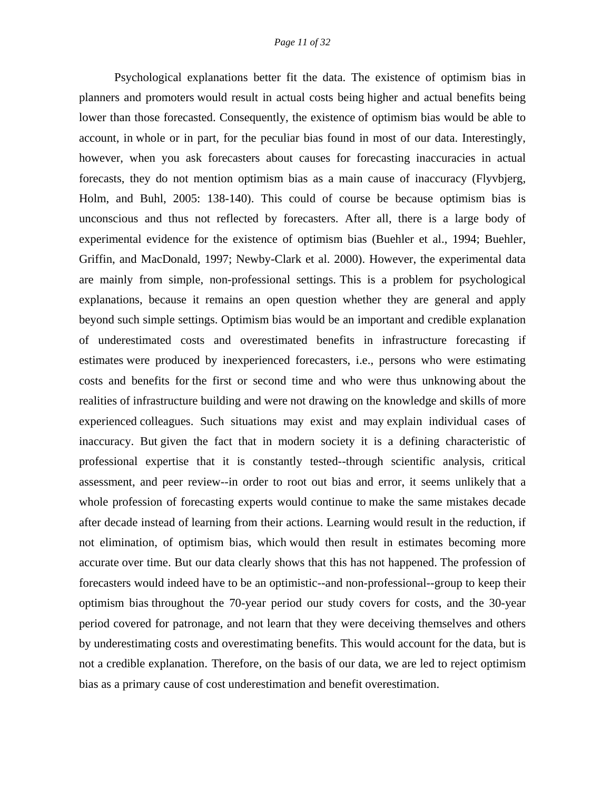Psychological explanations better fit the data. The existence of optimism bias in planners and promoters would result in actual costs being higher and actual benefits being lower than those forecasted. Consequently, the existence of optimism bias would be able to account, in whole or in part, for the peculiar bias found in most of our data. Interestingly, however, when you ask forecasters about causes for forecasting inaccuracies in actual forecasts, they do not mention optimism bias as a main cause of inaccuracy (Flyvbjerg, Holm, and Buhl, 2005: 138-140). This could of course be because optimism bias is unconscious and thus not reflected by forecasters. After all, there is a large body of experimental evidence for the existence of optimism bias (Buehler et al., 1994; Buehler, Griffin, and MacDonald, 1997; Newby-Clark et al. 2000). However, the experimental data are mainly from simple, non-professional settings. This is a problem for psychological explanations, because it remains an open question whether they are general and apply beyond such simple settings. Optimism bias would be an important and credible explanation of underestimated costs and overestimated benefits in infrastructure forecasting if estimates were produced by inexperienced forecasters, i.e., persons who were estimating costs and benefits for the first or second time and who were thus unknowing about the realities of infrastructure building and were not drawing on the knowledge and skills of more experienced colleagues. Such situations may exist and may explain individual cases of inaccuracy. But given the fact that in modern society it is a defining characteristic of professional expertise that it is constantly tested--through scientific analysis, critical assessment, and peer review--in order to root out bias and error, it seems unlikely that a whole profession of forecasting experts would continue to make the same mistakes decade after decade instead of learning from their actions. Learning would result in the reduction, if not elimination, of optimism bias, which would then result in estimates becoming more accurate over time. But our data clearly shows that this has not happened. The profession of forecasters would indeed have to be an optimistic--and non-professional--group to keep their optimism bias throughout the 70-year period our study covers for costs, and the 30-year period covered for patronage, and not learn that they were deceiving themselves and others by underestimating costs and overestimating benefits. This would account for the data, but is not a credible explanation. Therefore, on the basis of our data, we are led to reject optimism bias as a primary cause of cost underestimation and benefit overestimation.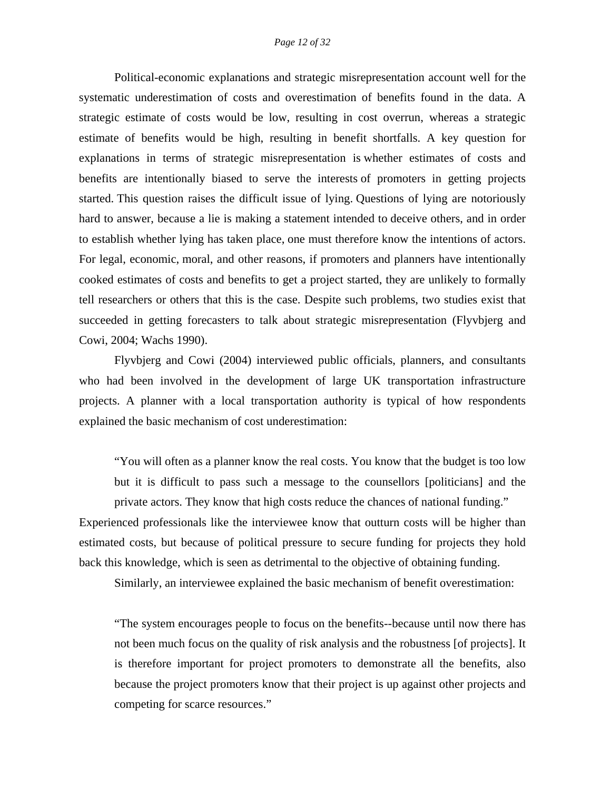Political-economic explanations and strategic misrepresentation account well for the systematic underestimation of costs and overestimation of benefits found in the data. A strategic estimate of costs would be low, resulting in cost overrun, whereas a strategic estimate of benefits would be high, resulting in benefit shortfalls. A key question for explanations in terms of strategic misrepresentation is whether estimates of costs and benefits are intentionally biased to serve the interests of promoters in getting projects started. This question raises the difficult issue of lying. Questions of lying are notoriously hard to answer, because a lie is making a statement intended to deceive others, and in order to establish whether lying has taken place, one must therefore know the intentions of actors. For legal, economic, moral, and other reasons, if promoters and planners have intentionally cooked estimates of costs and benefits to get a project started, they are unlikely to formally tell researchers or others that this is the case. Despite such problems, two studies exist that succeeded in getting forecasters to talk about strategic misrepresentation (Flyvbjerg and Cowi, 2004; Wachs 1990).

 Flyvbjerg and Cowi (2004) interviewed public officials, planners, and consultants who had been involved in the development of large UK transportation infrastructure projects. A planner with a local transportation authority is typical of how respondents explained the basic mechanism of cost underestimation:

"You will often as a planner know the real costs. You know that the budget is too low but it is difficult to pass such a message to the counsellors [politicians] and the private actors. They know that high costs reduce the chances of national funding."

Experienced professionals like the interviewee know that outturn costs will be higher than estimated costs, but because of political pressure to secure funding for projects they hold back this knowledge, which is seen as detrimental to the objective of obtaining funding.

Similarly, an interviewee explained the basic mechanism of benefit overestimation:

"The system encourages people to focus on the benefits--because until now there has not been much focus on the quality of risk analysis and the robustness [of projects]. It is therefore important for project promoters to demonstrate all the benefits, also because the project promoters know that their project is up against other projects and competing for scarce resources."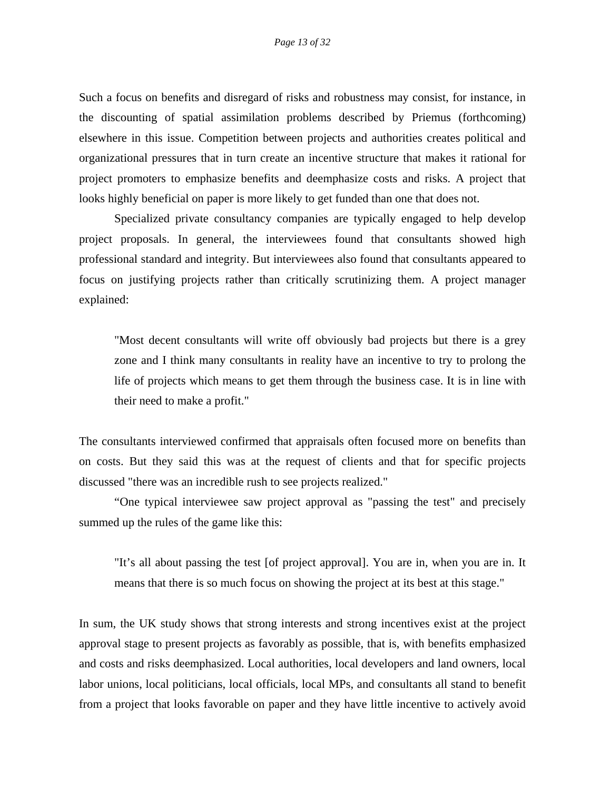Such a focus on benefits and disregard of risks and robustness may consist, for instance, in the discounting of spatial assimilation problems described by Priemus (forthcoming) elsewhere in this issue. Competition between projects and authorities creates political and organizational pressures that in turn create an incentive structure that makes it rational for project promoters to emphasize benefits and deemphasize costs and risks. A project that looks highly beneficial on paper is more likely to get funded than one that does not.

 Specialized private consultancy companies are typically engaged to help develop project proposals. In general, the interviewees found that consultants showed high professional standard and integrity. But interviewees also found that consultants appeared to focus on justifying projects rather than critically scrutinizing them. A project manager explained:

"Most decent consultants will write off obviously bad projects but there is a grey zone and I think many consultants in reality have an incentive to try to prolong the life of projects which means to get them through the business case. It is in line with their need to make a profit."

The consultants interviewed confirmed that appraisals often focused more on benefits than on costs. But they said this was at the request of clients and that for specific projects discussed "there was an incredible rush to see projects realized."

 "One typical interviewee saw project approval as "passing the test" and precisely summed up the rules of the game like this:

"It's all about passing the test [of project approval]. You are in, when you are in. It means that there is so much focus on showing the project at its best at this stage."

In sum, the UK study shows that strong interests and strong incentives exist at the project approval stage to present projects as favorably as possible, that is, with benefits emphasized and costs and risks deemphasized. Local authorities, local developers and land owners, local labor unions, local politicians, local officials, local MPs, and consultants all stand to benefit from a project that looks favorable on paper and they have little incentive to actively avoid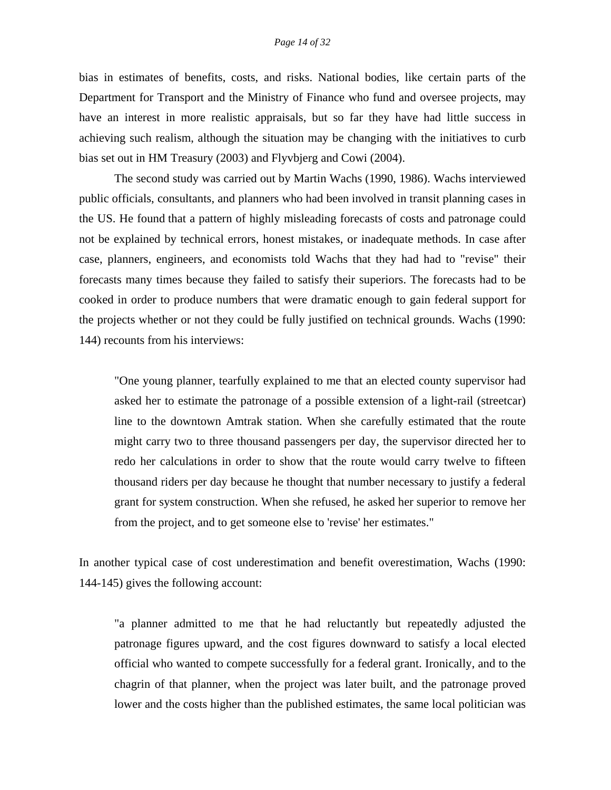bias in estimates of benefits, costs, and risks. National bodies, like certain parts of the Department for Transport and the Ministry of Finance who fund and oversee projects, may have an interest in more realistic appraisals, but so far they have had little success in achieving such realism, although the situation may be changing with the initiatives to curb bias set out in HM Treasury (2003) and Flyvbjerg and Cowi (2004).

 The second study was carried out by Martin Wachs (1990, 1986). Wachs interviewed public officials, consultants, and planners who had been involved in transit planning cases in the US. He found that a pattern of highly misleading forecasts of costs and patronage could not be explained by technical errors, honest mistakes, or inadequate methods. In case after case, planners, engineers, and economists told Wachs that they had had to "revise" their forecasts many times because they failed to satisfy their superiors. The forecasts had to be cooked in order to produce numbers that were dramatic enough to gain federal support for the projects whether or not they could be fully justified on technical grounds. Wachs (1990: 144) recounts from his interviews:

"One young planner, tearfully explained to me that an elected county supervisor had asked her to estimate the patronage of a possible extension of a light-rail (streetcar) line to the downtown Amtrak station. When she carefully estimated that the route might carry two to three thousand passengers per day, the supervisor directed her to redo her calculations in order to show that the route would carry twelve to fifteen thousand riders per day because he thought that number necessary to justify a federal grant for system construction. When she refused, he asked her superior to remove her from the project, and to get someone else to 'revise' her estimates."

In another typical case of cost underestimation and benefit overestimation, Wachs (1990: 144-145) gives the following account:

"a planner admitted to me that he had reluctantly but repeatedly adjusted the patronage figures upward, and the cost figures downward to satisfy a local elected official who wanted to compete successfully for a federal grant. Ironically, and to the chagrin of that planner, when the project was later built, and the patronage proved lower and the costs higher than the published estimates, the same local politician was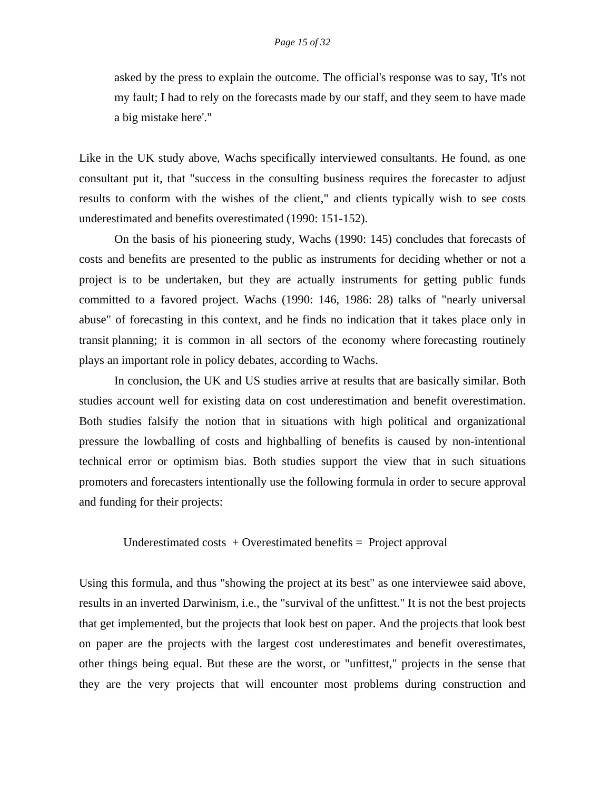asked by the press to explain the outcome. The official's response was to say, 'It's not my fault; I had to rely on the forecasts made by our staff, and they seem to have made a big mistake here'."

Like in the UK study above, Wachs specifically interviewed consultants. He found, as one consultant put it, that "success in the consulting business requires the forecaster to adjust results to conform with the wishes of the client," and clients typically wish to see costs underestimated and benefits overestimated (1990: 151-152).

 On the basis of his pioneering study, Wachs (1990: 145) concludes that forecasts of costs and benefits are presented to the public as instruments for deciding whether or not a project is to be undertaken, but they are actually instruments for getting public funds committed to a favored project. Wachs (1990: 146, 1986: 28) talks of "nearly universal abuse" of forecasting in this context, and he finds no indication that it takes place only in transit planning; it is common in all sectors of the economy where forecasting routinely plays an important role in policy debates, according to Wachs.

 In conclusion, the UK and US studies arrive at results that are basically similar. Both studies account well for existing data on cost underestimation and benefit overestimation. Both studies falsify the notion that in situations with high political and organizational pressure the lowballing of costs and highballing of benefits is caused by non-intentional technical error or optimism bias. Both studies support the view that in such situations promoters and forecasters intentionally use the following formula in order to secure approval and funding for their projects:

#### Underestimated costs + Overestimated benefits = Project approval

Using this formula, and thus "showing the project at its best" as one interviewee said above, results in an inverted Darwinism, i.e., the "survival of the unfittest." It is not the best projects that get implemented, but the projects that look best on paper. And the projects that look best on paper are the projects with the largest cost underestimates and benefit overestimates, other things being equal. But these are the worst, or "unfittest," projects in the sense that they are the very projects that will encounter most problems during construction and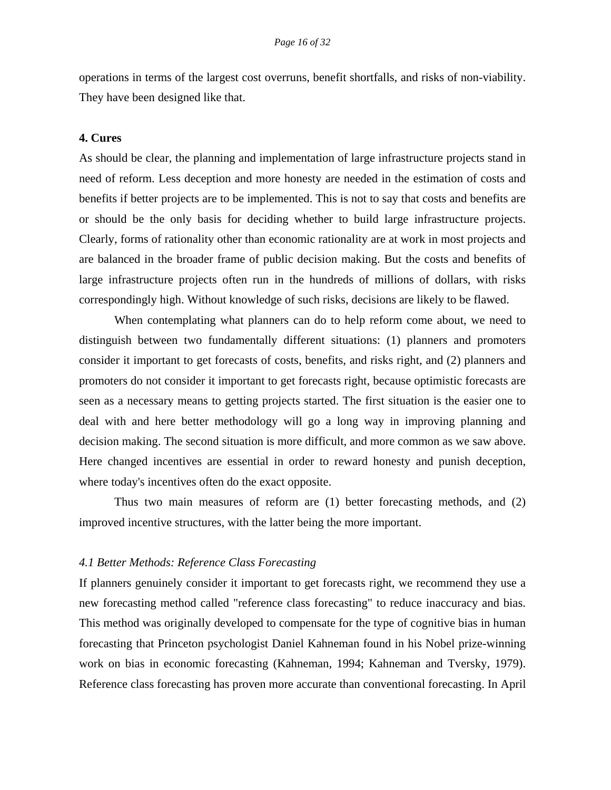operations in terms of the largest cost overruns, benefit shortfalls, and risks of non-viability. They have been designed like that.

## **4. Cures**

As should be clear, the planning and implementation of large infrastructure projects stand in need of reform. Less deception and more honesty are needed in the estimation of costs and benefits if better projects are to be implemented. This is not to say that costs and benefits are or should be the only basis for deciding whether to build large infrastructure projects. Clearly, forms of rationality other than economic rationality are at work in most projects and are balanced in the broader frame of public decision making. But the costs and benefits of large infrastructure projects often run in the hundreds of millions of dollars, with risks correspondingly high. Without knowledge of such risks, decisions are likely to be flawed.

 When contemplating what planners can do to help reform come about, we need to distinguish between two fundamentally different situations: (1) planners and promoters consider it important to get forecasts of costs, benefits, and risks right, and (2) planners and promoters do not consider it important to get forecasts right, because optimistic forecasts are seen as a necessary means to getting projects started. The first situation is the easier one to deal with and here better methodology will go a long way in improving planning and decision making. The second situation is more difficult, and more common as we saw above. Here changed incentives are essential in order to reward honesty and punish deception, where today's incentives often do the exact opposite.

 Thus two main measures of reform are (1) better forecasting methods, and (2) improved incentive structures, with the latter being the more important.

#### *4.1 Better Methods: Reference Class Forecasting*

If planners genuinely consider it important to get forecasts right, we recommend they use a new forecasting method called "reference class forecasting" to reduce inaccuracy and bias. This method was originally developed to compensate for the type of cognitive bias in human forecasting that Princeton psychologist Daniel Kahneman found in his Nobel prize-winning work on bias in economic forecasting (Kahneman, 1994; Kahneman and Tversky, 1979). Reference class forecasting has proven more accurate than conventional forecasting. In April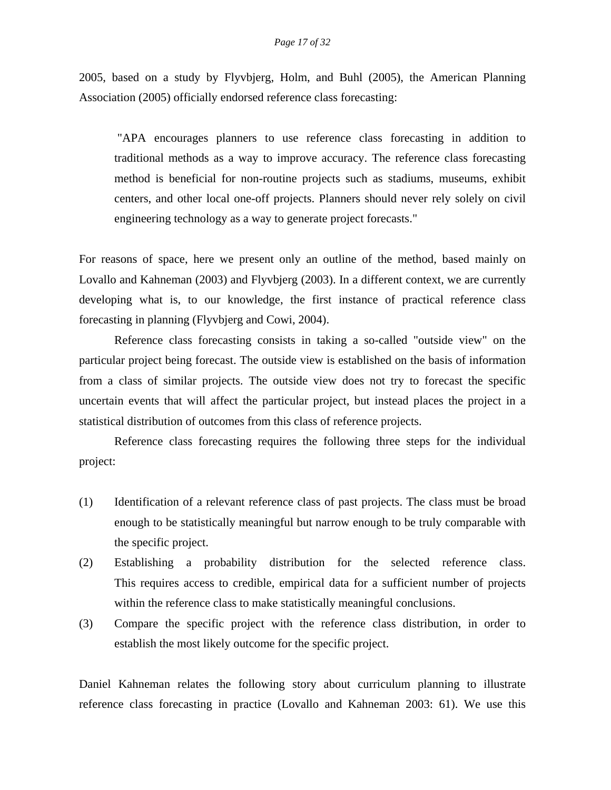2005, based on a study by Flyvbjerg, Holm, and Buhl (2005), the American Planning Association (2005) officially endorsed reference class forecasting:

 "APA encourages planners to use reference class forecasting in addition to traditional methods as a way to improve accuracy. The reference class forecasting method is beneficial for non-routine projects such as stadiums, museums, exhibit centers, and other local one-off projects. Planners should never rely solely on civil engineering technology as a way to generate project forecasts."

For reasons of space, here we present only an outline of the method, based mainly on Lovallo and Kahneman (2003) and Flyvbjerg (2003). In a different context, we are currently developing what is, to our knowledge, the first instance of practical reference class forecasting in planning (Flyvbjerg and Cowi, 2004).

Reference class forecasting consists in taking a so-called "outside view" on the particular project being forecast. The outside view is established on the basis of information from a class of similar projects. The outside view does not try to forecast the specific uncertain events that will affect the particular project, but instead places the project in a statistical distribution of outcomes from this class of reference projects.

Reference class forecasting requires the following three steps for the individual project:

- (1) Identification of a relevant reference class of past projects. The class must be broad enough to be statistically meaningful but narrow enough to be truly comparable with the specific project.
- (2) Establishing a probability distribution for the selected reference class. This requires access to credible, empirical data for a sufficient number of projects within the reference class to make statistically meaningful conclusions.
- (3) Compare the specific project with the reference class distribution, in order to establish the most likely outcome for the specific project.

Daniel Kahneman relates the following story about curriculum planning to illustrate reference class forecasting in practice (Lovallo and Kahneman 2003: 61). We use this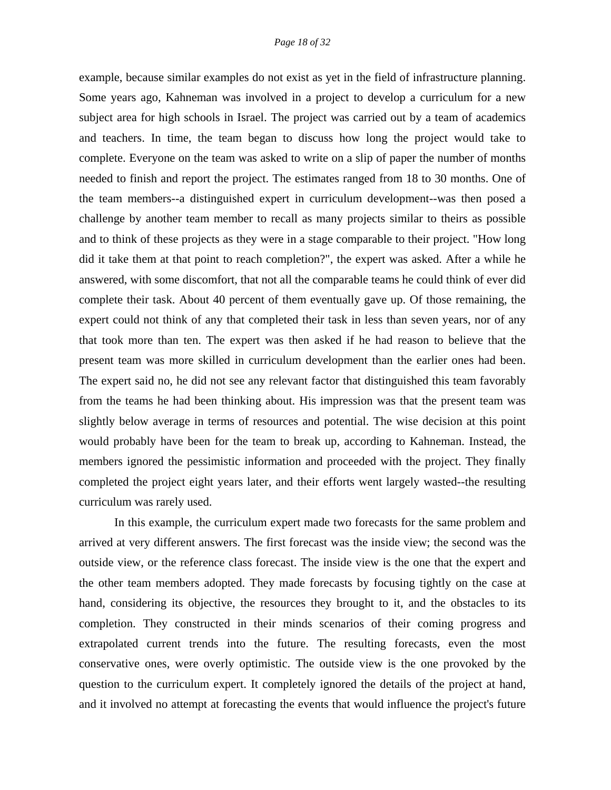example, because similar examples do not exist as yet in the field of infrastructure planning. Some years ago, Kahneman was involved in a project to develop a curriculum for a new subject area for high schools in Israel. The project was carried out by a team of academics and teachers. In time, the team began to discuss how long the project would take to complete. Everyone on the team was asked to write on a slip of paper the number of months needed to finish and report the project. The estimates ranged from 18 to 30 months. One of the team members--a distinguished expert in curriculum development--was then posed a challenge by another team member to recall as many projects similar to theirs as possible and to think of these projects as they were in a stage comparable to their project. "How long did it take them at that point to reach completion?", the expert was asked. After a while he answered, with some discomfort, that not all the comparable teams he could think of ever did complete their task. About 40 percent of them eventually gave up. Of those remaining, the expert could not think of any that completed their task in less than seven years, nor of any that took more than ten. The expert was then asked if he had reason to believe that the present team was more skilled in curriculum development than the earlier ones had been. The expert said no, he did not see any relevant factor that distinguished this team favorably from the teams he had been thinking about. His impression was that the present team was slightly below average in terms of resources and potential. The wise decision at this point would probably have been for the team to break up, according to Kahneman. Instead, the members ignored the pessimistic information and proceeded with the project. They finally completed the project eight years later, and their efforts went largely wasted--the resulting curriculum was rarely used.

 In this example, the curriculum expert made two forecasts for the same problem and arrived at very different answers. The first forecast was the inside view; the second was the outside view, or the reference class forecast. The inside view is the one that the expert and the other team members adopted. They made forecasts by focusing tightly on the case at hand, considering its objective, the resources they brought to it, and the obstacles to its completion. They constructed in their minds scenarios of their coming progress and extrapolated current trends into the future. The resulting forecasts, even the most conservative ones, were overly optimistic. The outside view is the one provoked by the question to the curriculum expert. It completely ignored the details of the project at hand, and it involved no attempt at forecasting the events that would influence the project's future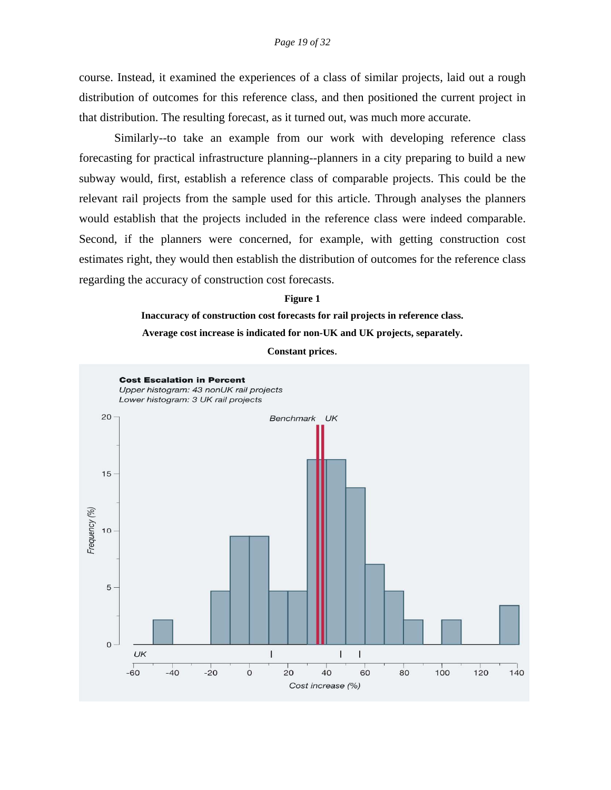course. Instead, it examined the experiences of a class of similar projects, laid out a rough distribution of outcomes for this reference class, and then positioned the current project in that distribution. The resulting forecast, as it turned out, was much more accurate.

 Similarly--to take an example from our work with developing reference class forecasting for practical infrastructure planning--planners in a city preparing to build a new subway would, first, establish a reference class of comparable projects. This could be the relevant rail projects from the sample used for this article. Through analyses the planners would establish that the projects included in the reference class were indeed comparable. Second, if the planners were concerned, for example, with getting construction cost estimates right, they would then establish the distribution of outcomes for the reference class regarding the accuracy of construction cost forecasts.

#### **Figure 1**

# **Inaccuracy of construction cost forecasts for rail projects in reference class. Average cost increase is indicated for non-UK and UK projects, separately.**



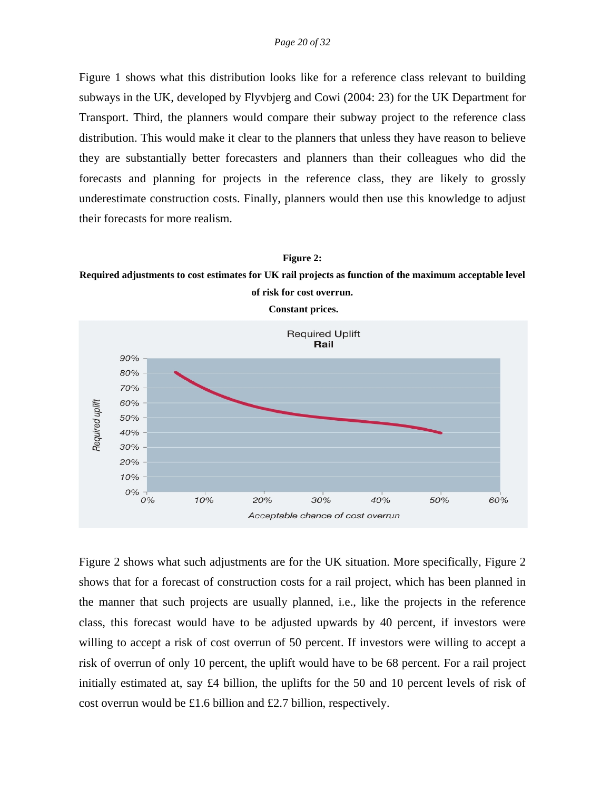Figure 1 shows what this distribution looks like for a reference class relevant to building subways in the UK, developed by Flyvbjerg and Cowi (2004: 23) for the UK Department for Transport. Third, the planners would compare their subway project to the reference class distribution. This would make it clear to the planners that unless they have reason to believe they are substantially better forecasters and planners than their colleagues who did the forecasts and planning for projects in the reference class, they are likely to grossly underestimate construction costs. Finally, planners would then use this knowledge to adjust their forecasts for more realism.

#### **Figure 2:**

**Required adjustments to cost estimates for UK rail projects as function of the maximum acceptable level of risk for cost overrun.** 



Figure 2 shows what such adjustments are for the UK situation. More specifically, Figure 2 shows that for a forecast of construction costs for a rail project, which has been planned in the manner that such projects are usually planned, i.e., like the projects in the reference class, this forecast would have to be adjusted upwards by 40 percent, if investors were willing to accept a risk of cost overrun of 50 percent. If investors were willing to accept a risk of overrun of only 10 percent, the uplift would have to be 68 percent. For a rail project initially estimated at, say £4 billion, the uplifts for the 50 and 10 percent levels of risk of cost overrun would be £1.6 billion and £2.7 billion, respectively.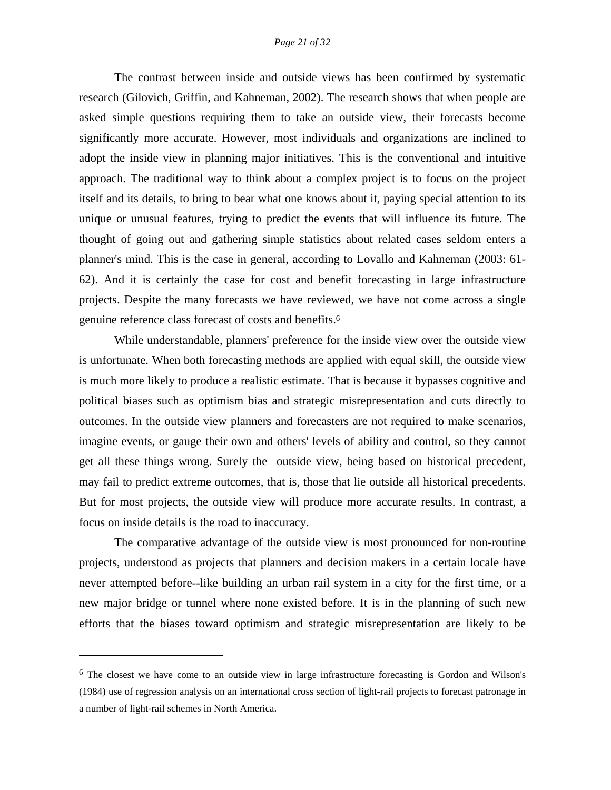#### *Page 21 of 32*

 The contrast between inside and outside views has been confirmed by systematic research (Gilovich, Griffin, and Kahneman, 2002). The research shows that when people are asked simple questions requiring them to take an outside view, their forecasts become significantly more accurate. However, most individuals and organizations are inclined to adopt the inside view in planning major initiatives. This is the conventional and intuitive approach. The traditional way to think about a complex project is to focus on the project itself and its details, to bring to bear what one knows about it, paying special attention to its unique or unusual features, trying to predict the events that will influence its future. The thought of going out and gathering simple statistics about related cases seldom enters a planner's mind. This is the case in general, according to Lovallo and Kahneman (2003: 61- 62). And it is certainly the case for cost and benefit forecasting in large infrastructure projects. Despite the many forecasts we have reviewed, we have not come across a single genuine reference class forecast of costs and benefits.6

 While understandable, planners' preference for the inside view over the outside view is unfortunate. When both forecasting methods are applied with equal skill, the outside view is much more likely to produce a realistic estimate. That is because it bypasses cognitive and political biases such as optimism bias and strategic misrepresentation and cuts directly to outcomes. In the outside view planners and forecasters are not required to make scenarios, imagine events, or gauge their own and others' levels of ability and control, so they cannot get all these things wrong. Surely the outside view, being based on historical precedent, may fail to predict extreme outcomes, that is, those that lie outside all historical precedents. But for most projects, the outside view will produce more accurate results. In contrast, a focus on inside details is the road to inaccuracy.

 The comparative advantage of the outside view is most pronounced for non-routine projects, understood as projects that planners and decision makers in a certain locale have never attempted before--like building an urban rail system in a city for the first time, or a new major bridge or tunnel where none existed before. It is in the planning of such new efforts that the biases toward optimism and strategic misrepresentation are likely to be

 $\overline{a}$ 

<sup>6</sup> The closest we have come to an outside view in large infrastructure forecasting is Gordon and Wilson's (1984) use of regression analysis on an international cross section of light-rail projects to forecast patronage in a number of light-rail schemes in North America.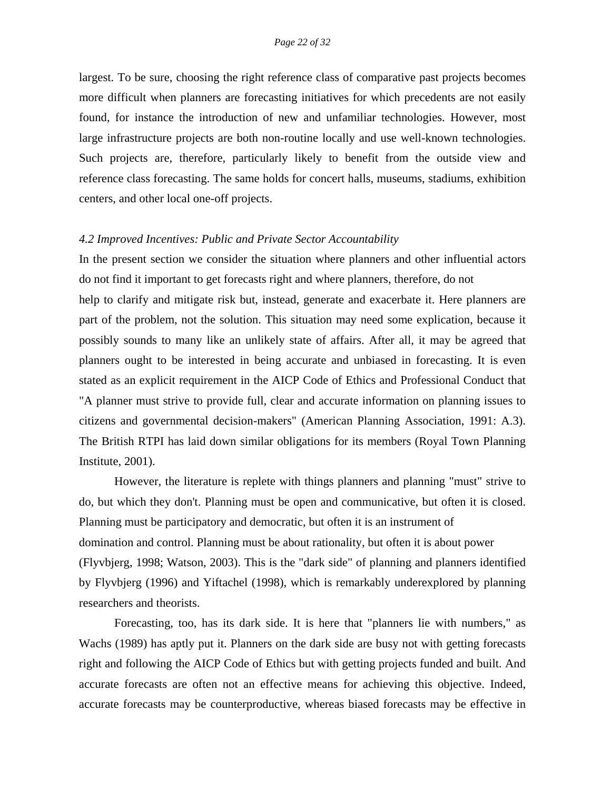largest. To be sure, choosing the right reference class of comparative past projects becomes more difficult when planners are forecasting initiatives for which precedents are not easily found, for instance the introduction of new and unfamiliar technologies. However, most large infrastructure projects are both non-routine locally and use well-known technologies. Such projects are, therefore, particularly likely to benefit from the outside view and reference class forecasting. The same holds for concert halls, museums, stadiums, exhibition centers, and other local one-off projects.

#### *4.2 Improved Incentives: Public and Private Sector Accountability*

In the present section we consider the situation where planners and other influential actors do not find it important to get forecasts right and where planners, therefore, do not help to clarify and mitigate risk but, instead, generate and exacerbate it. Here planners are part of the problem, not the solution. This situation may need some explication, because it possibly sounds to many like an unlikely state of affairs. After all, it may be agreed that planners ought to be interested in being accurate and unbiased in forecasting. It is even stated as an explicit requirement in the AICP Code of Ethics and Professional Conduct that "A planner must strive to provide full, clear and accurate information on planning issues to citizens and governmental decision-makers" (American Planning Association, 1991: A.3). The British RTPI has laid down similar obligations for its members (Royal Town Planning Institute, 2001).

However, the literature is replete with things planners and planning "must" strive to do, but which they don't. Planning must be open and communicative, but often it is closed. Planning must be participatory and democratic, but often it is an instrument of domination and control. Planning must be about rationality, but often it is about power (Flyvbjerg, 1998; Watson, 2003). This is the "dark side" of planning and planners identified by Flyvbjerg (1996) and Yiftachel (1998), which is remarkably underexplored by planning researchers and theorists.

Forecasting, too, has its dark side. It is here that "planners lie with numbers," as Wachs (1989) has aptly put it. Planners on the dark side are busy not with getting forecasts right and following the AICP Code of Ethics but with getting projects funded and built. And accurate forecasts are often not an effective means for achieving this objective. Indeed, accurate forecasts may be counterproductive, whereas biased forecasts may be effective in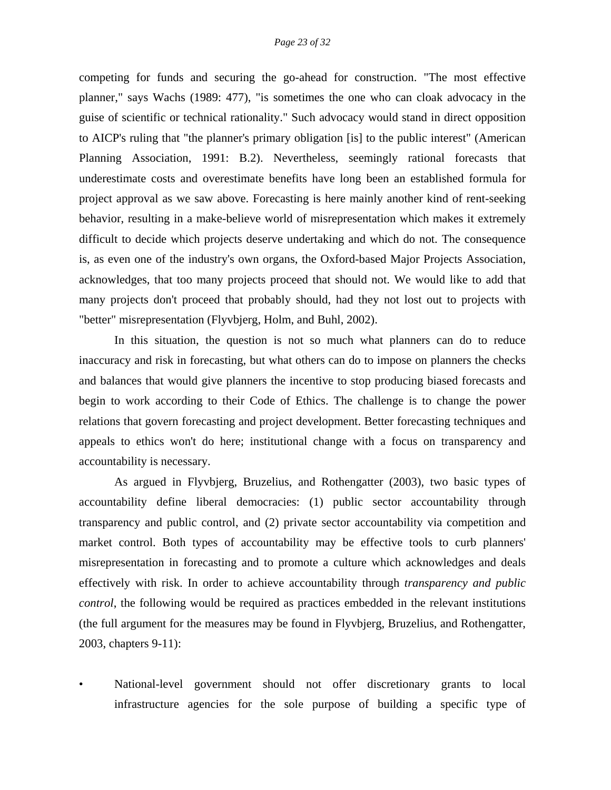competing for funds and securing the go-ahead for construction. "The most effective planner," says Wachs (1989: 477), "is sometimes the one who can cloak advocacy in the guise of scientific or technical rationality." Such advocacy would stand in direct opposition to AICP's ruling that "the planner's primary obligation [is] to the public interest" (American Planning Association, 1991: B.2). Nevertheless, seemingly rational forecasts that underestimate costs and overestimate benefits have long been an established formula for project approval as we saw above. Forecasting is here mainly another kind of rent-seeking behavior, resulting in a make-believe world of misrepresentation which makes it extremely difficult to decide which projects deserve undertaking and which do not. The consequence is, as even one of the industry's own organs, the Oxford-based Major Projects Association, acknowledges, that too many projects proceed that should not. We would like to add that many projects don't proceed that probably should, had they not lost out to projects with "better" misrepresentation (Flyvbjerg, Holm, and Buhl, 2002).

In this situation, the question is not so much what planners can do to reduce inaccuracy and risk in forecasting, but what others can do to impose on planners the checks and balances that would give planners the incentive to stop producing biased forecasts and begin to work according to their Code of Ethics. The challenge is to change the power relations that govern forecasting and project development. Better forecasting techniques and appeals to ethics won't do here; institutional change with a focus on transparency and accountability is necessary.

As argued in Flyvbjerg, Bruzelius, and Rothengatter (2003), two basic types of accountability define liberal democracies: (1) public sector accountability through transparency and public control, and (2) private sector accountability via competition and market control. Both types of accountability may be effective tools to curb planners' misrepresentation in forecasting and to promote a culture which acknowledges and deals effectively with risk. In order to achieve accountability through *transparency and public control*, the following would be required as practices embedded in the relevant institutions (the full argument for the measures may be found in Flyvbjerg, Bruzelius, and Rothengatter, 2003, chapters 9-11):

National-level government should not offer discretionary grants to local infrastructure agencies for the sole purpose of building a specific type of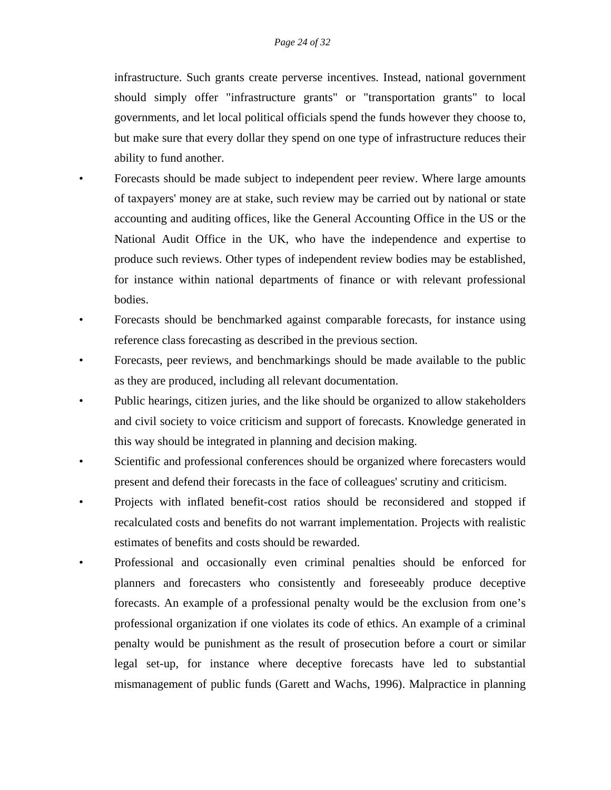infrastructure. Such grants create perverse incentives. Instead, national government should simply offer "infrastructure grants" or "transportation grants" to local governments, and let local political officials spend the funds however they choose to, but make sure that every dollar they spend on one type of infrastructure reduces their ability to fund another.

- Forecasts should be made subject to independent peer review. Where large amounts of taxpayers' money are at stake, such review may be carried out by national or state accounting and auditing offices, like the General Accounting Office in the US or the National Audit Office in the UK, who have the independence and expertise to produce such reviews. Other types of independent review bodies may be established, for instance within national departments of finance or with relevant professional bodies.
- Forecasts should be benchmarked against comparable forecasts, for instance using reference class forecasting as described in the previous section.
- Forecasts, peer reviews, and benchmarkings should be made available to the public as they are produced, including all relevant documentation.
- Public hearings, citizen juries, and the like should be organized to allow stakeholders and civil society to voice criticism and support of forecasts. Knowledge generated in this way should be integrated in planning and decision making.
- Scientific and professional conferences should be organized where forecasters would present and defend their forecasts in the face of colleagues' scrutiny and criticism.
- Projects with inflated benefit-cost ratios should be reconsidered and stopped if recalculated costs and benefits do not warrant implementation. Projects with realistic estimates of benefits and costs should be rewarded.
- Professional and occasionally even criminal penalties should be enforced for planners and forecasters who consistently and foreseeably produce deceptive forecasts. An example of a professional penalty would be the exclusion from one's professional organization if one violates its code of ethics. An example of a criminal penalty would be punishment as the result of prosecution before a court or similar legal set-up, for instance where deceptive forecasts have led to substantial mismanagement of public funds (Garett and Wachs, 1996). Malpractice in planning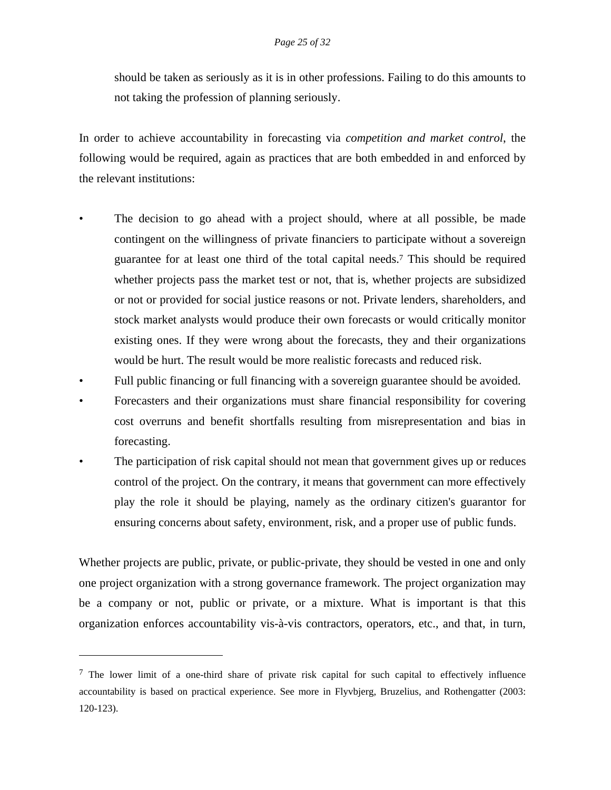should be taken as seriously as it is in other professions. Failing to do this amounts to not taking the profession of planning seriously.

In order to achieve accountability in forecasting via *competition and market control*, the following would be required, again as practices that are both embedded in and enforced by the relevant institutions:

- The decision to go ahead with a project should, where at all possible, be made contingent on the willingness of private financiers to participate without a sovereign guarantee for at least one third of the total capital needs.7 This should be required whether projects pass the market test or not, that is, whether projects are subsidized or not or provided for social justice reasons or not. Private lenders, shareholders, and stock market analysts would produce their own forecasts or would critically monitor existing ones. If they were wrong about the forecasts, they and their organizations would be hurt. The result would be more realistic forecasts and reduced risk.
- Full public financing or full financing with a sovereign guarantee should be avoided.
- Forecasters and their organizations must share financial responsibility for covering cost overruns and benefit shortfalls resulting from misrepresentation and bias in forecasting.
- The participation of risk capital should not mean that government gives up or reduces control of the project. On the contrary, it means that government can more effectively play the role it should be playing, namely as the ordinary citizen's guarantor for ensuring concerns about safety, environment, risk, and a proper use of public funds.

Whether projects are public, private, or public-private, they should be vested in one and only one project organization with a strong governance framework. The project organization may be a company or not, public or private, or a mixture. What is important is that this organization enforces accountability vis-à-vis contractors, operators, etc., and that, in turn,

 $\overline{a}$ 

<sup>7</sup> The lower limit of a one-third share of private risk capital for such capital to effectively influence accountability is based on practical experience. See more in Flyvbjerg, Bruzelius, and Rothengatter (2003: 120-123).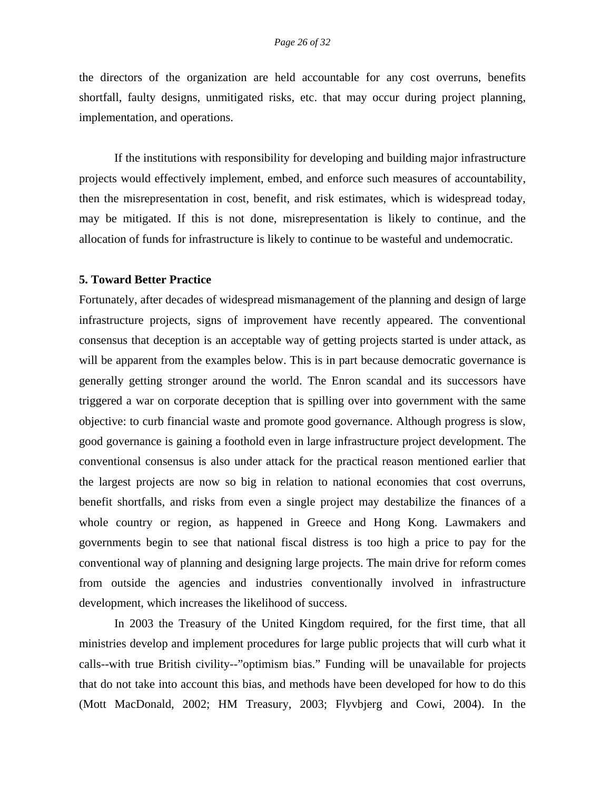the directors of the organization are held accountable for any cost overruns, benefits shortfall, faulty designs, unmitigated risks, etc. that may occur during project planning, implementation, and operations.

If the institutions with responsibility for developing and building major infrastructure projects would effectively implement, embed, and enforce such measures of accountability, then the misrepresentation in cost, benefit, and risk estimates, which is widespread today, may be mitigated. If this is not done, misrepresentation is likely to continue, and the allocation of funds for infrastructure is likely to continue to be wasteful and undemocratic.

#### **5. Toward Better Practice**

Fortunately, after decades of widespread mismanagement of the planning and design of large infrastructure projects, signs of improvement have recently appeared. The conventional consensus that deception is an acceptable way of getting projects started is under attack, as will be apparent from the examples below. This is in part because democratic governance is generally getting stronger around the world. The Enron scandal and its successors have triggered a war on corporate deception that is spilling over into government with the same objective: to curb financial waste and promote good governance. Although progress is slow, good governance is gaining a foothold even in large infrastructure project development. The conventional consensus is also under attack for the practical reason mentioned earlier that the largest projects are now so big in relation to national economies that cost overruns, benefit shortfalls, and risks from even a single project may destabilize the finances of a whole country or region, as happened in Greece and Hong Kong. Lawmakers and governments begin to see that national fiscal distress is too high a price to pay for the conventional way of planning and designing large projects. The main drive for reform comes from outside the agencies and industries conventionally involved in infrastructure development, which increases the likelihood of success.

 In 2003 the Treasury of the United Kingdom required, for the first time, that all ministries develop and implement procedures for large public projects that will curb what it calls--with true British civility--"optimism bias." Funding will be unavailable for projects that do not take into account this bias, and methods have been developed for how to do this (Mott MacDonald, 2002; HM Treasury, 2003; Flyvbjerg and Cowi, 2004). In the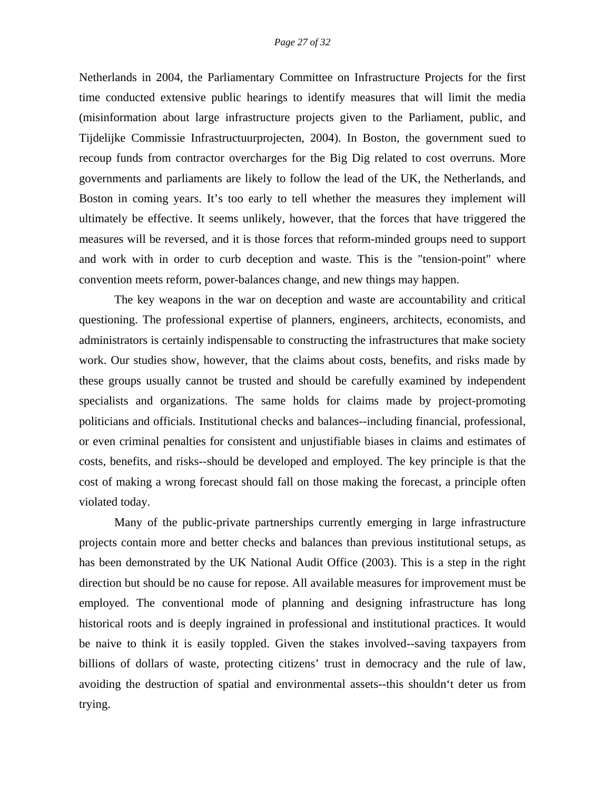Netherlands in 2004, the Parliamentary Committee on Infrastructure Projects for the first time conducted extensive public hearings to identify measures that will limit the media (misinformation about large infrastructure projects given to the Parliament, public, and Tijdelijke Commissie Infrastructuurprojecten, 2004). In Boston, the government sued to recoup funds from contractor overcharges for the Big Dig related to cost overruns. More governments and parliaments are likely to follow the lead of the UK, the Netherlands, and Boston in coming years. It's too early to tell whether the measures they implement will ultimately be effective. It seems unlikely, however, that the forces that have triggered the measures will be reversed, and it is those forces that reform-minded groups need to support and work with in order to curb deception and waste. This is the "tension-point" where convention meets reform, power-balances change, and new things may happen.

 The key weapons in the war on deception and waste are accountability and critical questioning. The professional expertise of planners, engineers, architects, economists, and administrators is certainly indispensable to constructing the infrastructures that make society work. Our studies show, however, that the claims about costs, benefits, and risks made by these groups usually cannot be trusted and should be carefully examined by independent specialists and organizations. The same holds for claims made by project-promoting politicians and officials. Institutional checks and balances--including financial, professional, or even criminal penalties for consistent and unjustifiable biases in claims and estimates of costs, benefits, and risks--should be developed and employed. The key principle is that the cost of making a wrong forecast should fall on those making the forecast, a principle often violated today.

 Many of the public-private partnerships currently emerging in large infrastructure projects contain more and better checks and balances than previous institutional setups, as has been demonstrated by the UK National Audit Office (2003). This is a step in the right direction but should be no cause for repose. All available measures for improvement must be employed. The conventional mode of planning and designing infrastructure has long historical roots and is deeply ingrained in professional and institutional practices. It would be naive to think it is easily toppled. Given the stakes involved--saving taxpayers from billions of dollars of waste, protecting citizens' trust in democracy and the rule of law, avoiding the destruction of spatial and environmental assets--this shouldn't deter us from trying.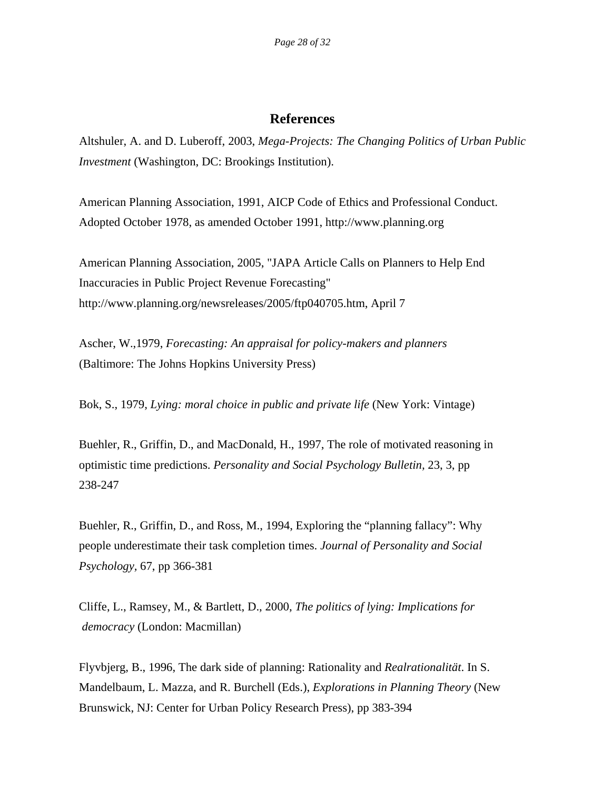# **References**

Altshuler, A. and D. Luberoff, 2003, *Mega-Projects: The Changing Politics of Urban Public Investment* (Washington, DC: Brookings Institution).

American Planning Association, 1991, AICP Code of Ethics and Professional Conduct. Adopted October 1978, as amended October 1991, http://www.planning.org

American Planning Association, 2005, "JAPA Article Calls on Planners to Help End Inaccuracies in Public Project Revenue Forecasting" http://www.planning.org/newsreleases/2005/ftp040705.htm, April 7

Ascher, W.,1979, *Forecasting: An appraisal for policy-makers and planners* (Baltimore: The Johns Hopkins University Press)

Bok, S., 1979, *Lying: moral choice in public and private life* (New York: Vintage)

Buehler, R., Griffin, D., and MacDonald, H., 1997, The role of motivated reasoning in optimistic time predictions. *Personality and Social Psychology Bulletin,* 23, 3, pp 238-247

Buehler, R., Griffin, D., and Ross, M., 1994, Exploring the "planning fallacy": Why people underestimate their task completion times. *Journal of Personality and Social Psychology,* 67, pp 366-381

Cliffe, L., Ramsey, M., & Bartlett, D., 2000, *The politics of lying: Implications for democracy* (London: Macmillan)

Flyvbjerg, B., 1996, The dark side of planning: Rationality and *Realrationalität*. In S. Mandelbaum, L. Mazza, and R. Burchell (Eds.), *Explorations in Planning Theory* (New Brunswick, NJ: Center for Urban Policy Research Press), pp 383-394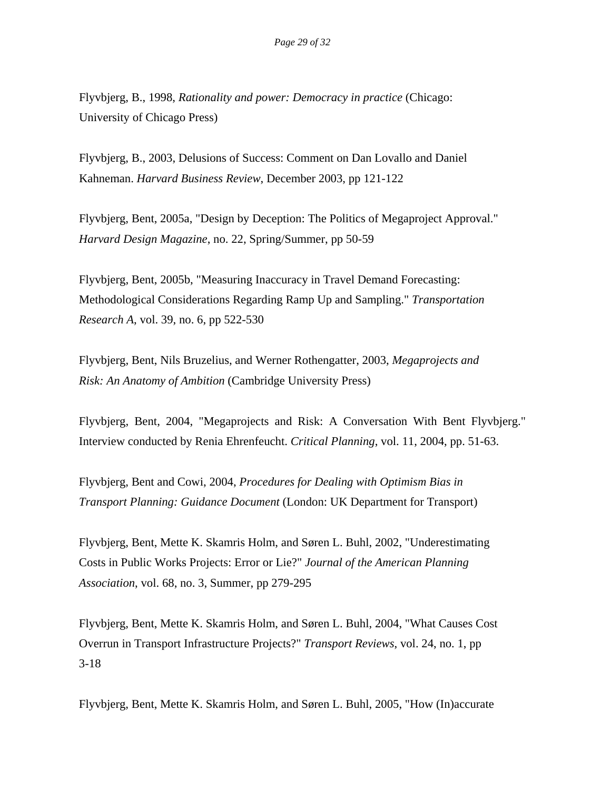Flyvbjerg, B., 1998, *Rationality and power: Democracy in practice* (Chicago: University of Chicago Press)

Flyvbjerg, B., 2003, Delusions of Success: Comment on Dan Lovallo and Daniel Kahneman. *Harvard Business Review*, December 2003, pp 121-122

Flyvbjerg, Bent, 2005a, "Design by Deception: The Politics of Megaproject Approval." *Harvard Design Magazine*, no. 22, Spring/Summer, pp 50-59

Flyvbjerg, Bent, 2005b, "Measuring Inaccuracy in Travel Demand Forecasting: Methodological Considerations Regarding Ramp Up and Sampling." *Transportation Research A*, vol. 39, no. 6, pp 522-530

Flyvbjerg, Bent, Nils Bruzelius, and Werner Rothengatter, 2003, *Megaprojects and Risk: An Anatomy of Ambition* (Cambridge University Press)

Flyvbjerg, Bent, 2004, "Megaprojects and Risk: A Conversation With Bent Flyvbjerg." Interview conducted by Renia Ehrenfeucht. *Critical Planning*, vol. 11, 2004, pp. 51-63.

Flyvbjerg, Bent and Cowi, 2004, *Procedures for Dealing with Optimism Bias in Transport Planning: Guidance Document* (London: UK Department for Transport)

Flyvbjerg, Bent, Mette K. Skamris Holm, and Søren L. Buhl, 2002, "Underestimating Costs in Public Works Projects: Error or Lie?" *Journal of the American Planning Association*, vol. 68, no. 3, Summer, pp 279-295

Flyvbjerg, Bent, Mette K. Skamris Holm, and Søren L. Buhl, 2004, "What Causes Cost Overrun in Transport Infrastructure Projects?" *Transport Reviews*, vol. 24, no. 1, pp 3-18

Flyvbjerg, Bent, Mette K. Skamris Holm, and Søren L. Buhl, 2005, "How (In)accurate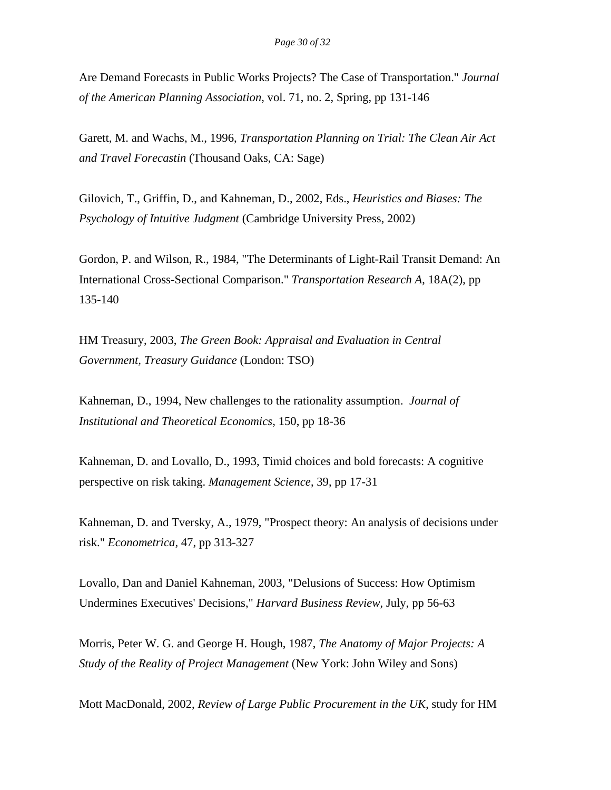Are Demand Forecasts in Public Works Projects? The Case of Transportation." *Journal of the American Planning Association*, vol. 71, no. 2, Spring, pp 131-146

Garett, M. and Wachs, M., 1996, *Transportation Planning on Trial: The Clean Air Act and Travel Forecastin* (Thousand Oaks, CA: Sage)

Gilovich, T., Griffin, D., and Kahneman, D., 2002, Eds., *Heuristics and Biases: The Psychology of Intuitive Judgment* (Cambridge University Press, 2002)

Gordon, P. and Wilson, R., 1984, "The Determinants of Light-Rail Transit Demand: An International Cross-Sectional Comparison." *Transportation Research A*, 18A(2), pp 135-140

HM Treasury, 2003, *The Green Book: Appraisal and Evaluation in Central Government, Treasury Guidance* (London: TSO)

Kahneman, D., 1994, New challenges to the rationality assumption. *Journal of Institutional and Theoretical Economics*, 150, pp 18-36

Kahneman, D. and Lovallo, D., 1993, Timid choices and bold forecasts: A cognitive perspective on risk taking. *Management Science*, 39, pp 17-31

Kahneman, D. and Tversky, A., 1979, "Prospect theory: An analysis of decisions under risk." *Econometrica*, 47, pp 313-327

Lovallo, Dan and Daniel Kahneman, 2003, "Delusions of Success: How Optimism Undermines Executives' Decisions," *Harvard Business Review*, July, pp 56-63

Morris, Peter W. G. and George H. Hough, 1987, *The Anatomy of Major Projects: A Study of the Reality of Project Management* (New York: John Wiley and Sons)

Mott MacDonald, 2002, *Review of Large Public Procurement in the UK*, study for HM